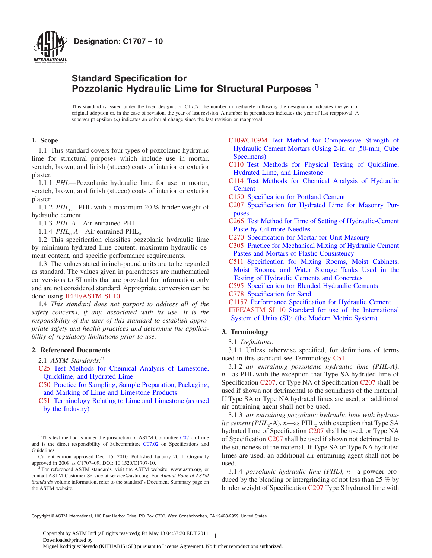



# **Standard Specification for Pozzolanic Hydraulic Lime for Structural Purposes <sup>1</sup>**

This standard is issued under the fixed designation C1707; the number immediately following the designation indicates the year of original adoption or, in the case of revision, the year of last revision. A number in parentheses indicates the year of last reapproval. A superscript epsilon  $(\varepsilon)$  indicates an editorial change since the last revision or reapproval.

# **1. Scope**

1.1 This standard covers four types of pozzolanic hydraulic lime for structural purposes which include use in mortar, scratch, brown, and finish (stucco) coats of interior or exterior plaster.

1.1.1 *PHL*—Pozzolanic hydraulic lime for use in mortar, scratch, brown, and finish (stucco) coats of interior or exterior plaster.

1.1.2 *PHL*<sub>c</sub>—PHL with a maximum 20 % binder weight of hydraulic cement.

1.1.3 *PHL-A*—Air-entrained PHL.

1.1.4 *PHL*<sub>c</sub>-A—Air-entrained PHL<sub>c</sub>.

1.2 This specification classifies pozzolanic hydraulic lime by minimum hydrated lime content, maximum hydraulic cement content, and specific performance requirements.

1.3 The values stated in inch-pound units are to be regarded as standard. The values given in parentheses are mathematical conversions to SI units that are provided for information only and are not considered standard. Appropriate conversion can be done using [IEEE/ASTM SI 10.](#page-0-0)

1.4 *This standard does not purport to address all of the safety concerns, if any, associated with its use. It is the responsibility of the user of this standard to establish appropriate safety and health practices and determine the applicability of regulatory limitations prior to use.*

### **2. Referenced Documents**

2.1 *ASTM Standards:*<sup>2</sup>

- [C25](#page-1-0) [Test Methods for Chemical Analysis of Limestone,](http://dx.doi.org/10.1520/C0025) [Quicklime, and Hydrated Lime](http://dx.doi.org/10.1520/C0025)
- [C50](#page-1-1) [Practice for Sampling, Sample Preparation, Packaging,](http://dx.doi.org/10.1520/C0050) [and Marking of Lime and Limestone Products](http://dx.doi.org/10.1520/C0050)
- [C51](#page-0-1) [Terminology Relating to Lime and Limestone \(as used](http://dx.doi.org/10.1520/C0051) [by the Industry\)](http://dx.doi.org/10.1520/C0051)
- <span id="page-0-19"></span>[C109/C109M](#page-1-2) [Test Method for Compressive Strength of](http://dx.doi.org/10.1520/C0109_C0109M) [Hydraulic Cement Mortars \(Using 2-in. or \[50-mm\] Cube](http://dx.doi.org/10.1520/C0109_C0109M) [Specimens\)](http://dx.doi.org/10.1520/C0109_C0109M)
- <span id="page-0-17"></span><span id="page-0-12"></span>[C110](#page-1-3) [Test Methods for Physical Testing of Quicklime,](http://dx.doi.org/10.1520/C0110) [Hydrated Lime, and Limestone](http://dx.doi.org/10.1520/C0110)
- <span id="page-0-9"></span>[C114](#page-1-4) [Test Methods for Chemical Analysis of Hydraulic](http://dx.doi.org/10.1520/C0114) **[Cement](http://dx.doi.org/10.1520/C0114)**
- <span id="page-0-8"></span>[C150](#page-1-5) [Specification for Portland Cement](http://dx.doi.org/10.1520/C0150)
- [C207](#page-0-2) [Specification for Hydrated Lime for Masonry Pur](http://dx.doi.org/10.1520/C0207)[poses](http://dx.doi.org/10.1520/C0207)
- <span id="page-0-14"></span>[C266](#page-1-6) [Test Method for Time of Setting of Hydraulic-Cement](http://dx.doi.org/10.1520/C0266) [Paste by Gillmore Needles](http://dx.doi.org/10.1520/C0266)
- <span id="page-0-18"></span><span id="page-0-15"></span>[C270](#page-1-7) [Specification for Mortar for Unit Masonry](http://dx.doi.org/10.1520/C0270)
- [C305](#page-1-8) [Practice for Mechanical Mixing of Hydraulic Cement](http://dx.doi.org/10.1520/C0305) [Pastes and Mortars of Plastic Consistency](http://dx.doi.org/10.1520/C0305)
- <span id="page-0-20"></span>[C511](#page-1-9) [Specification for Mixing Rooms, Moist Cabinets,](http://dx.doi.org/10.1520/C0511) [Moist Rooms, and Water Storage Tanks Used in the](http://dx.doi.org/10.1520/C0511) [Testing of Hydraulic Cements and Concretes](http://dx.doi.org/10.1520/C0511)
- <span id="page-0-16"></span><span id="page-0-10"></span><span id="page-0-3"></span>[C595](#page-1-5) [Specification for Blended Hydraulic Cements](http://dx.doi.org/10.1520/C0595)
- <span id="page-0-11"></span>[C778](#page-1-10) [Specification for Sand](http://dx.doi.org/10.1520/C0778)

<span id="page-0-0"></span>[C1157](#page-1-11) [Performance Specification for Hydraulic Cement](http://dx.doi.org/10.1520/C1157) [IEEE/ASTM SI 10](#page-0-3) [Standard for use of the International](http://dx.doi.org/10.1520/IEEE_ASTMSI0010) [System of Units \(SI\): \(the Modern Metric System\)](http://dx.doi.org/10.1520/IEEE_ASTMSI0010)

# **3. Terminology**

<span id="page-0-21"></span><span id="page-0-13"></span><span id="page-0-4"></span>3.1 *Definitions:*

<span id="page-0-1"></span>3.1.1 Unless otherwise specified, for definitions of terms used in this standard see Terminology [C51.](#page-0-4)

<span id="page-0-2"></span>3.1.2 *air entraining pozzolanic hydraulic lime (PHL-A)*, *n*—as PHL with the exception that Type SA hydrated lime of Specification [C207,](#page-0-2) or Type NA of Specification [C207](#page-0-5) shall be used if shown not detrimental to the soundness of the material. If Type SA or Type NA hydrated limes are used, an additional air entraining agent shall not be used.

<span id="page-0-6"></span><span id="page-0-5"></span>3.1.3 *air entraining pozzolanic hydraulic lime with hydraulic cement (PHL<sub>c</sub>*-A), *n*—as PHL<sub>c</sub> with exception that Type SA hydrated lime of Specification [C207](#page-0-6) shall be used, or Type NA of Specification [C207](#page-0-7) shall be used if shown not detrimental to the soundness of the material. If Type SA or Type NA hydrated limes are used, an additional air entraining agent shall not be used.

<span id="page-0-7"></span>3.1.4 *pozzolanic hydraulic lime (PHL)*, *n*—a powder produced by the blending or intergrinding of not less than 25 % by binder weight of Specification [C207](#page-1-12) Type S hydrated lime with

Copyright © ASTM International, 100 Barr Harbor Drive, PO Box C700, West Conshohocken, PA 19428-2959, United States.

1 Copyright by ASTM Int'l (all rights reserved); Fri May 13 04:57:30 EDT 2011 Downloaded/printed by Miguel RodriguezNevado (KITHARIS+SL) pursuant to License Agreement. No further reproductions authorized.

 $1$ . This test method is under the jurisdiction of ASTM Committee [C07](http://www.astm.org/COMMIT/COMMITTEE/C07.htm) on Lime and is the direct responsibility of Subcommittee [C07.02](http://www.astm.org/COMMIT/SUBCOMMIT/C0702.htm) on Specifications and Guidelines.

Current edition approved Dec. 15, 2010. Published January 2011. Originally approved in 2009 as C1707–09. DOI: 10.1520/C1707-10.

 $2$  For referenced ASTM standards, visit the ASTM website, www.astm.org, or contact ASTM Customer Service at service@astm.org. For *Annual Book of ASTM Standards* volume information, refer to the standard's Document Summary page on the ASTM website.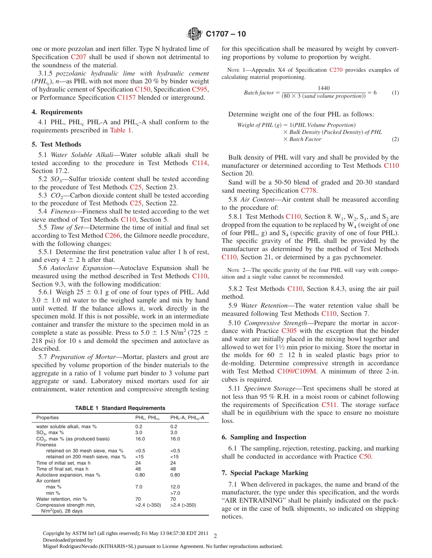one or more pozzolan and inert filler. Type N hydrated lime of Specification [C207](#page-0-8) shall be used if shown not detrimental to the soundness of the material.

3.1.5 *pozzolanic hydraulic lime with hydraulic cement (PHL<sub>c</sub>)*, *n*—as PHL with not more than 20 % by binder weight of hydraulic cement of Specification [C150,](#page-0-9) Specification [C595,](#page-0-10) or Performance Specification [C1157](#page-0-11) blended or interground.

#### **4. Requirements**

4.1 PHL, PHL<sub>c</sub> PHL-A and PHL<sub>c</sub>-A shall conform to the requirements prescribed in [Table 1.](#page-1-13)

## **5. Test Methods**

5.1 *Water Soluble Alkali*—Water soluble alkali shall be tested according to the procedure in Test Methods [C114,](#page-0-12) Section 17.2.

5.2  $SO_3$ —Sulfur trioxide content shall be tested according to the procedure of Test Methods [C25,](#page-1-14) Section 23.

5.3  $CO<sub>2</sub>$ —Carbon dioxide content shall be tested according to the procedure of Test Methods [C25,](#page-0-13) Section 22.

5.4 *Fineness*—Fineness shall be tested according to the wet sieve method of Test Methods [C110,](#page-1-15) Section 5.

5.5 *Time of Set*—Determine the time of initial and final set according to Test Method [C266,](#page-0-14) the Gilmore needle procedure, with the following changes:

5.5.1 Determine the first penetration value after 1 h of rest, and every  $4 \pm 2$  h after that.

5.6 *Autoclave Expansion*—Autoclave Expansion shall be measured using the method described in Test Methods [C110,](#page-1-16) Section 9.3, with the following modification:

5.6.1 Weigh  $25 \pm 0.1$  g of one of four types of PHL. Add  $3.0 \pm 1.0$  ml water to the weighed sample and mix by hand until wetted. If the balance allows it, work directly in the specimen mold. If this is not possible, work in an intermediate container and transfer the mixture to the specimen mold in as complete a state as possible. Press to 5.0  $\pm$  1.5 N/m<sup>2</sup> (725  $\pm$ 218 psi) for 10 s and demold the specimen and autoclave as described.

5.7 *Preparation of Mortar*—Mortar, plasters and grout are specified by volume proportion of the binder materials to the aggregate in a ratio of 1 volume part binder to 3 volume part aggregate or sand. Laboratory mixed mortars used for air entrainment, water retention and compressive strength testing

|  |  |  |  | <b>TABLE 1 Standard Requirements</b> |  |  |
|--|--|--|--|--------------------------------------|--|--|
|--|--|--|--|--------------------------------------|--|--|

| Properties                        | PHL, PHL          | PHL-A, PHL,-A     |
|-----------------------------------|-------------------|-------------------|
| water soluble alkali, max %       | $0.2^{\circ}$     | $0.2^{\circ}$     |
| $SO3$ , max %                     | 3.0               | 3.0               |
| $CO2$ , max % (as produced basis) | 16.0              | 16.0              |
| Fineness                          |                   |                   |
| retained on 30 mesh sieve, max %  | < 0.5             | < 0.5             |
| retained on 200 mesh sieve. max % | $<$ 15            | $<$ 15            |
| Time of initial set, max h        | 24                | 24                |
| Time of final set, max h          | 48                | 48                |
| Autoclave expansion, max %        | 0.80              | 0.80              |
| Air content                       |                   |                   |
| $max$ %                           | 7.0               | 12.0              |
| min %                             |                   | >7.0              |
| Water retention, min %            | 70                | 70                |
| Compressive strength min,         | $>2.4$ ( $>350$ ) | $>2.4$ ( $>350$ ) |
| $N/m^2$ (psi), 28 days            |                   |                   |

for this specification shall be measured by weight by converting proportions by volume to proportion by weight.

<span id="page-1-7"></span>NOTE 1-Appendix X4 of Specification [C270](#page-0-15) provides examples of calculating material proportioning.

<span id="page-1-12"></span><span id="page-1-11"></span><span id="page-1-5"></span>
$$
Batch factor = \frac{1440}{(80 \times 3 (sand volume proportion))} = 6
$$
 (1)

Determine weight one of the four PHL as follows:

<span id="page-1-14"></span><span id="page-1-4"></span><span id="page-1-0"></span>Weight of PHL (g) = 1(PHL Volume Proportion)  
\n
$$
\times
$$
 Bulk Density (Packed Density) of PHL  
\n $\times$  Batch Factor (2)

<span id="page-1-16"></span>Bulk density of PHL will vary and shall be provided by the manufacturer or determined according to Test Methods [C110](#page-1-17) Section 20.

<span id="page-1-10"></span>Sand will be a 50-50 blend of graded and 20-30 standard sand meeting Specification [C778.](#page-0-16)

<span id="page-1-17"></span>5.8 *Air Content*—Air content shall be measured according to the procedure of:

<span id="page-1-6"></span><span id="page-1-3"></span>5.8.1 Test Methods [C110,](#page-1-18) Section 8.  $W_1$ ,  $W_2$ ,  $S_1$ , and  $S_2$  are dropped from the equation to be replaced by  $W_4$  (weight of one of four PHL, g) and  $S_4$  (specific gravity of one of four PHL). The specific gravity of the PHL shall be provided by the manufacturer as determined by the method of Test Methods [C110,](#page-1-19) Section 21, or determined by a gas pychnometer.

<span id="page-1-19"></span><span id="page-1-18"></span><span id="page-1-15"></span>NOTE 2—The specific gravity of the four PHL will vary with composition and a single value cannot be recommended.

5.8.2 Test Methods [C110,](#page-1-20) Section 8.4.3, using the air pail method.

<span id="page-1-20"></span>5.9 *Water Retention*—The water retention value shall be measured following Test Methods [C110,](#page-0-17) Section 7.

<span id="page-1-8"></span>5.10 *Compressive Strength*—Prepare the mortar in accordance with Practice [C305](#page-0-18) with the exception that the binder and water are initially placed in the mixing bowl together and allowed to wet for  $1\frac{1}{2}$  min prior to mixing. Store the mortar in the molds for  $60 \pm 12$  h in sealed plastic bags prior to de-molding. Determine compressive strength in accordance with Test Method [C109/C109M.](#page-0-19) A minimum of three 2-in. cubes is required.

<span id="page-1-13"></span><span id="page-1-9"></span><span id="page-1-2"></span>5.11 *Specimen Storage*—Test specimens shall be stored at not less than 95 % R.H. in a moist room or cabinet following the requirements of Specification [C511.](#page-0-20) The storage surface shall be in equilibrium with the space to ensure no moisture loss.

#### <span id="page-1-1"></span>**6. Sampling and Inspection**

6.1 The sampling, rejection, retesting, packing, and marking shall be conducted in accordance with Practice [C50.](#page-0-21)

#### **7. Special Package Marking**

7.1 When delivered in packages, the name and brand of the manufacturer, the type under this specification, and the words "AIR ENTRAINING" shall be plainly indicated on the package or in the case of bulk shipments, so indicated on shipping notices.